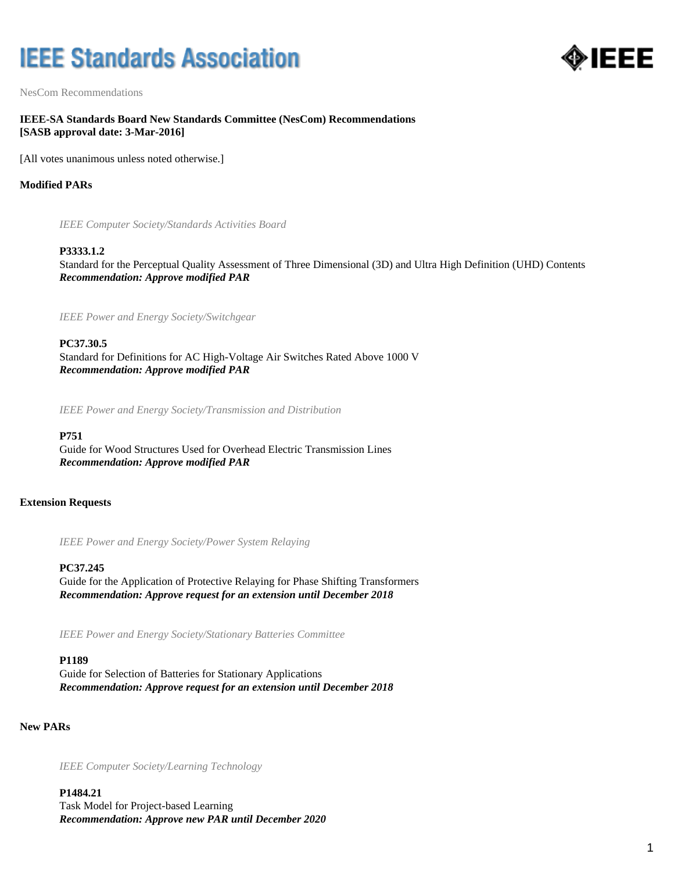# **IEEE Standards Association**



NesCom Recommendations

# **IEEE-SA Standards Board New Standards Committee (NesCom) Recommendations [SASB approval date: 3-Mar-2016]**

[All votes unanimous unless noted otherwise.]

# **Modified PARs**

*IEEE Computer Society/Standards Activities Board*

#### **P3333.1.2**

Standard for the Perceptual Quality Assessment of Three Dimensional (3D) and Ultra High Definition (UHD) Contents *Recommendation: Approve modified PAR*

*IEEE Power and Energy Society/Switchgear*

**PC37.30.5**

Standard for Definitions for AC High-Voltage Air Switches Rated Above 1000 V *Recommendation: Approve modified PAR*

*IEEE Power and Energy Society/Transmission and Distribution*

## **P751**

Guide for Wood Structures Used for Overhead Electric Transmission Lines *Recommendation: Approve modified PAR*

# **Extension Requests**

*IEEE Power and Energy Society/Power System Relaying*

## **PC37.245**

Guide for the Application of Protective Relaying for Phase Shifting Transformers *Recommendation: Approve request for an extension until December 2018*

*IEEE Power and Energy Society/Stationary Batteries Committee*

#### **P1189**

Guide for Selection of Batteries for Stationary Applications *Recommendation: Approve request for an extension until December 2018*

**New PARs**

*IEEE Computer Society/Learning Technology*

**P1484.21** Task Model for Project-based Learning *Recommendation: Approve new PAR until December 2020*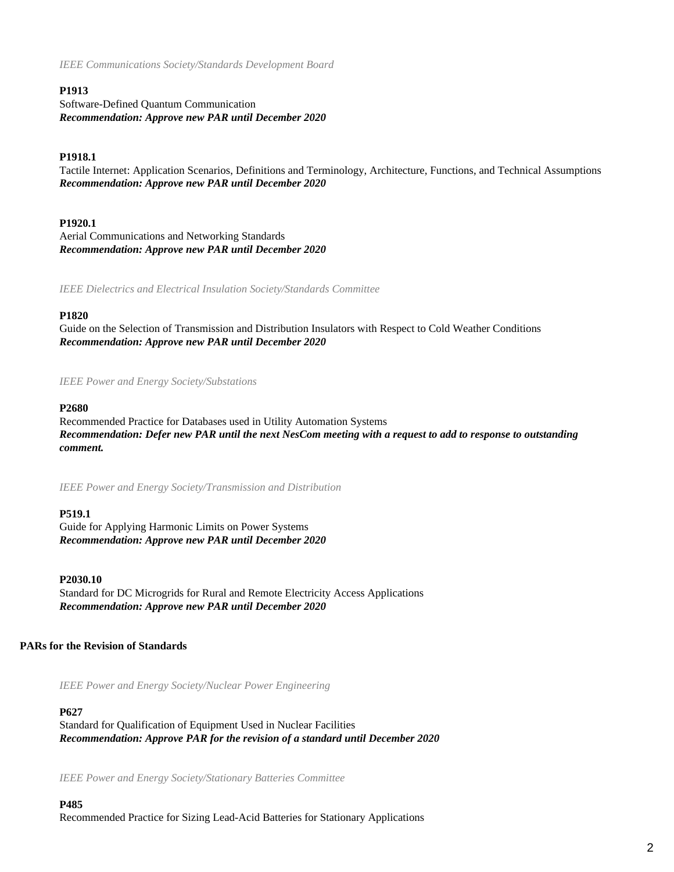*IEEE Communications Society/Standards Development Board*

## **P1913**

Software-Defined Quantum Communication *Recommendation: Approve new PAR until December 2020*

## **P1918.1**

Tactile Internet: Application Scenarios, Definitions and Terminology, Architecture, Functions, and Technical Assumptions *Recommendation: Approve new PAR until December 2020*

### **P1920.1**

Aerial Communications and Networking Standards *Recommendation: Approve new PAR until December 2020*

*IEEE Dielectrics and Electrical Insulation Society/Standards Committee*

## **P1820**

Guide on the Selection of Transmission and Distribution Insulators with Respect to Cold Weather Conditions *Recommendation: Approve new PAR until December 2020*

#### *IEEE Power and Energy Society/Substations*

#### **P2680**

Recommended Practice for Databases used in Utility Automation Systems *Recommendation: Defer new PAR until the next NesCom meeting with a request to add to response to outstanding comment.*

*IEEE Power and Energy Society/Transmission and Distribution*

#### **P519.1**

Guide for Applying Harmonic Limits on Power Systems *Recommendation: Approve new PAR until December 2020*

#### **P2030.10**

Standard for DC Microgrids for Rural and Remote Electricity Access Applications *Recommendation: Approve new PAR until December 2020*

#### **PARs for the Revision of Standards**

*IEEE Power and Energy Society/Nuclear Power Engineering*

#### **P627**

Standard for Qualification of Equipment Used in Nuclear Facilities *Recommendation: Approve PAR for the revision of a standard until December 2020*

*IEEE Power and Energy Society/Stationary Batteries Committee*

#### **P485** Recommended Practice for Sizing Lead-Acid Batteries for Stationary Applications